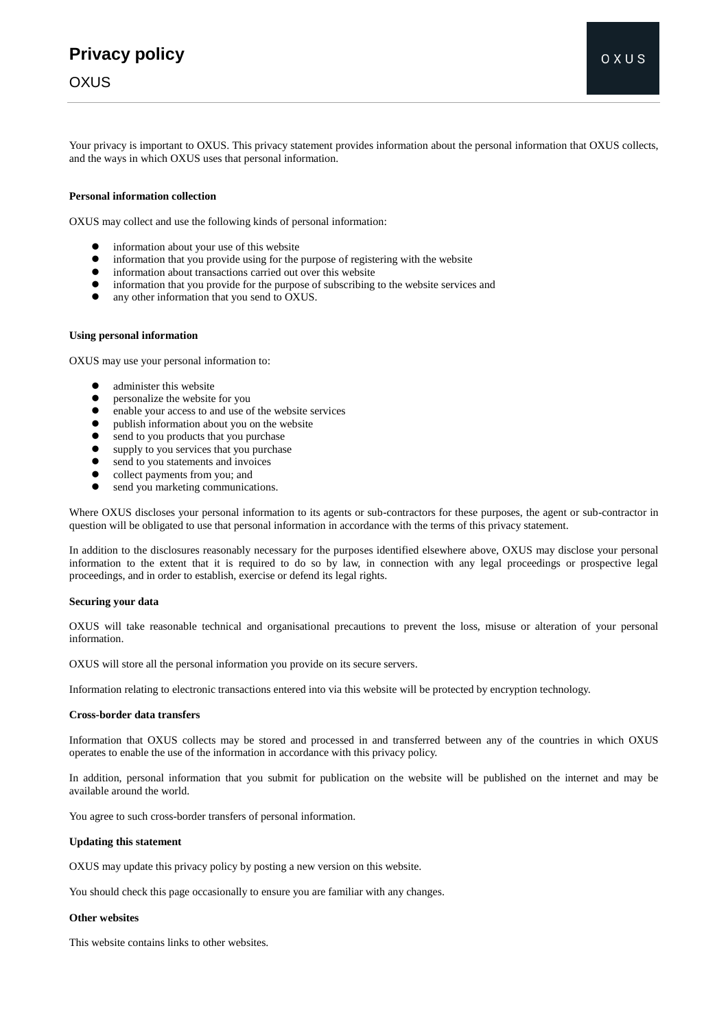## **Privacy policy**

### **OXUS**

Your privacy is important to OXUS. This privacy statement provides information about the personal information that OXUS collects, and the ways in which OXUS uses that personal information.

#### **Personal information collection**

OXUS may collect and use the following kinds of personal information:

- information about your use of this website
- information that you provide using for the purpose of registering with the website
- information about transactions carried out over this website
- information that you provide for the purpose of subscribing to the website services and
- any other information that you send to OXUS.

#### **Using personal information**

OXUS may use your personal information to:

- administer this website
- **•** personalize the website for you
- enable your access to and use of the website services
- publish information about you on the website
- $\bullet$  send to you products that you purchase
- supply to you services that you purchase<br>• send to you statements and invoices
- send to you statements and invoices<br>• collect navments from you: and
- collect payments from you; and
- send you marketing communications.

Where OXUS discloses your personal information to its agents or sub-contractors for these purposes, the agent or sub-contractor in question will be obligated to use that personal information in accordance with the terms of this privacy statement.

In addition to the disclosures reasonably necessary for the purposes identified elsewhere above, OXUS may disclose your personal information to the extent that it is required to do so by law, in connection with any legal proceedings or prospective legal proceedings, and in order to establish, exercise or defend its legal rights.

#### **Securing your data**

OXUS will take reasonable technical and organisational precautions to prevent the loss, misuse or alteration of your personal information.

OXUS will store all the personal information you provide on its secure servers.

Information relating to electronic transactions entered into via this website will be protected by encryption technology.

#### **Cross-border data transfers**

Information that OXUS collects may be stored and processed in and transferred between any of the countries in which OXUS operates to enable the use of the information in accordance with this privacy policy.

In addition, personal information that you submit for publication on the website will be published on the internet and may be available around the world.

You agree to such cross-border transfers of personal information.

#### **Updating this statement**

OXUS may update this privacy policy by posting a new version on this website.

You should check this page occasionally to ensure you are familiar with any changes.

#### **Other websites**

This website contains links to other websites.